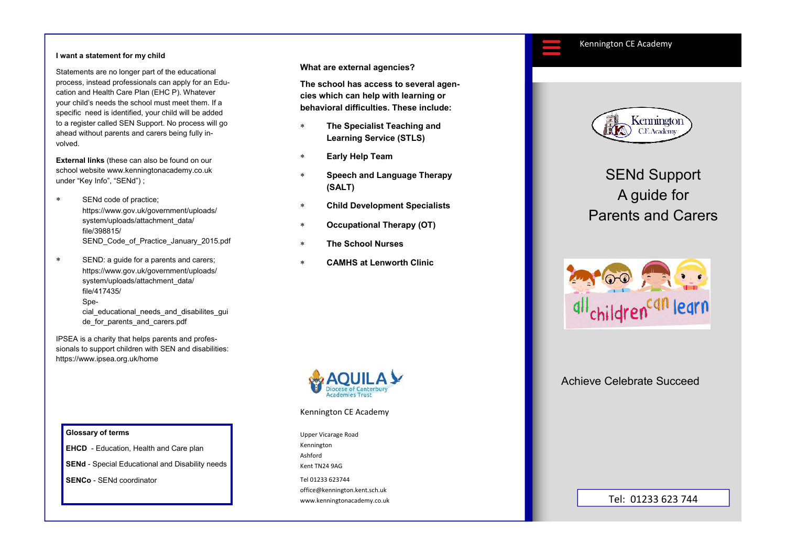#### Kennington CE Academy

#### **I want a statement for my child**

Statements are no longer part of the educational process, instead professionals can apply for an Education and Health Care Plan (EHC P). Whatever your child's needs the school must meet them. If a specific need is identified, your child will be added to a register called SEN Support. No process will go ahead without parents and carers being fully involved.

**External links** (these can also be found on our school website www.kenningtonacademy.co.uk under "Key Info", "SENd") ;

- ∗ SENd code of practice; https://www.gov.uk/government/uploads/system/uploads/attachment\_data/ file/398815/SEND Code of Practice January 2015.pdf
- ∗ SEND: a guide for a parents and carers; https://www.gov.uk/government/uploads/system/uploads/attachment\_data/ file/417435/Special educational needs and disabilites gui de for parents and carers.pdf

IPSEA is a charity that helps parents and professionals to support children with SEN and disabilities: https://www.ipsea.org.uk/home

**What are external agencies?** 

**The school has access to several agencies which can help with learning or behavioral difficulties. These include:** 

- ∗ **The Specialist Teaching and Learning Service (STLS)**
- ∗ **Early Help Team**
- **Speech and Language Therapy (SALT)**
- ∗ **Child Development Specialists**
- ∗ **Occupational Therapy (OT)**
- ∗ **The School Nurses**
- ∗ **CAMHS at Lenworth Clinic**



#### Kennington CE Academy

Upper Vicarage Road Kennington Ashford Kent TN24 9AG

Tel 01233 623744 office@kennington.kent.sch.uk www.kenningtonacademy.co.uk



# SENd Support A guide for Parents and Carers



## Achieve Celebrate Succeed

### Tel: 01233 623 744

#### **Glossary of terms**

**EHCD** - Education, Health and Care plan **SENd** - Special Educational and Disability needs **SENCo** - SENd coordinator